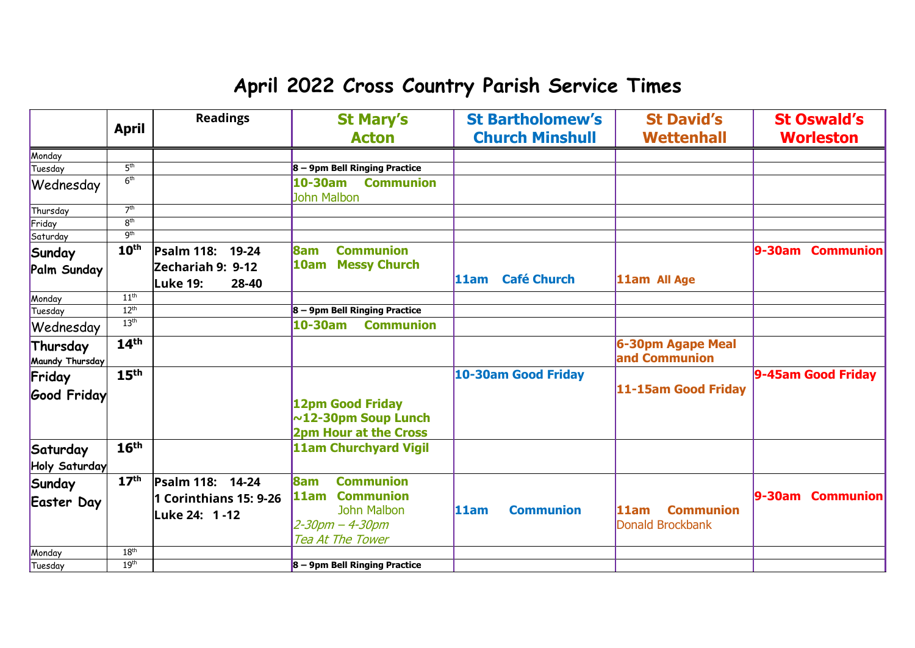## **April 2022 Cross Country Parish Service Times**

|                             | <b>April</b>     | <b>Readings</b>                               | <b>St Mary's</b><br><b>Acton</b>                                       | <b>St Bartholomew's</b><br><b>Church Minshull</b> | <b>St David's</b><br><b>Wettenhall</b> | <b>St Oswald's</b><br><b>Worleston</b> |
|-----------------------------|------------------|-----------------------------------------------|------------------------------------------------------------------------|---------------------------------------------------|----------------------------------------|----------------------------------------|
| Monday                      |                  |                                               |                                                                        |                                                   |                                        |                                        |
| Tuesday                     | 5 <sup>th</sup>  |                                               | 8 - 9pm Bell Ringing Practice                                          |                                                   |                                        |                                        |
| Wednesday                   | 6 <sup>th</sup>  |                                               | <b>Communion</b><br>10-30am<br><b>John Malbon</b>                      |                                                   |                                        |                                        |
| Thursday                    | 7 <sup>th</sup>  |                                               |                                                                        |                                                   |                                        |                                        |
| Friday                      | 8 <sup>th</sup>  |                                               |                                                                        |                                                   |                                        |                                        |
| Saturday                    | 9 <sup>th</sup>  |                                               |                                                                        |                                                   |                                        |                                        |
| Sunday                      | 10 <sup>th</sup> | Psalm 118:<br>19-24                           | <b>Communion</b><br><b>8am</b>                                         |                                                   |                                        | 9-30am<br><b>Communion</b>             |
| Palm Sunday                 |                  | Zechariah 9: 9-12<br><b>Luke 19:</b><br>28-40 | <b>Messy Church</b><br> 10am                                           | <b>Café Church</b><br>11am                        | 11am All Age                           |                                        |
| Monday                      | 11 <sup>th</sup> |                                               |                                                                        |                                                   |                                        |                                        |
| Tuesday                     | 12 <sup>th</sup> |                                               | $8 - 9$ pm Bell Ringing Practice                                       |                                                   |                                        |                                        |
| Wednesday                   | 13 <sup>th</sup> |                                               | 10-30am<br><b>Communion</b>                                            |                                                   |                                        |                                        |
| Thursday<br>Maundy Thursday | 14 <sup>th</sup> |                                               |                                                                        |                                                   | 6-30pm Agape Meal<br>and Communion     |                                        |
| Friday                      | 15 <sup>th</sup> |                                               |                                                                        | <b>10-30am Good Friday</b>                        | 11-15am Good Friday                    | 9-45am Good Friday                     |
| <b>Good Friday</b>          |                  |                                               | 12pm Good Friday<br>$\sim$ 12-30pm Soup Lunch<br>2pm Hour at the Cross |                                                   |                                        |                                        |
| Saturday<br>Holy Saturday   | 16 <sup>th</sup> |                                               | <b>11am Churchyard Vigil</b>                                           |                                                   |                                        |                                        |
| Sunday                      | 17 <sup>th</sup> | Psalm 118: 14-24                              | <b>Communion</b><br><b>8am</b>                                         |                                                   |                                        |                                        |
| <b>Easter Day</b>           |                  | 1 Corinthians 15: 9-26                        | <b>Communion</b><br>l11am                                              |                                                   |                                        | 9-30am Communion                       |
|                             |                  | Luke 24: 1-12                                 | <b>John Malbon</b>                                                     | 11am<br><b>Communion</b>                          | <b>Communion</b><br>l11am              |                                        |
|                             |                  |                                               | 2-30pm - 4-30pm                                                        |                                                   | Donald Brockbank                       |                                        |
|                             |                  |                                               | <b>Tea At The Tower</b>                                                |                                                   |                                        |                                        |
| Monday                      | 18 <sup>th</sup> |                                               |                                                                        |                                                   |                                        |                                        |
| Tuesday                     | 19 <sup>th</sup> |                                               | $8 - 9$ pm Bell Ringing Practice                                       |                                                   |                                        |                                        |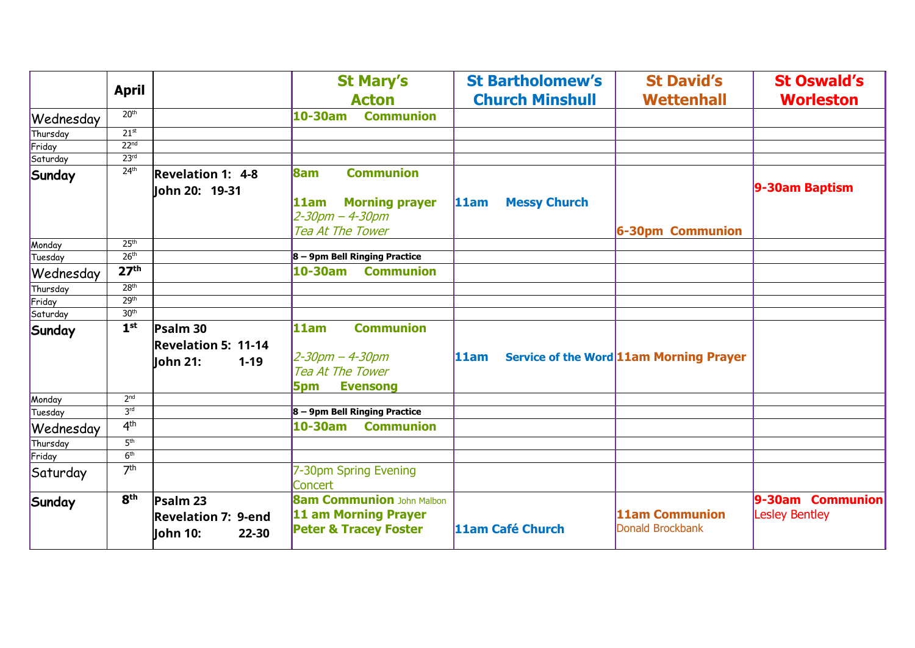|           | <b>April</b>     |                                                                | <b>St Mary's</b><br><b>Acton</b>                                                                    | <b>St Bartholomew's</b><br><b>Church Minshull</b> | <b>St David's</b><br><b>Wettenhall</b>  | <b>St Oswald's</b><br><b>Worleston</b>    |
|-----------|------------------|----------------------------------------------------------------|-----------------------------------------------------------------------------------------------------|---------------------------------------------------|-----------------------------------------|-------------------------------------------|
| Wednesday | 20 <sup>th</sup> |                                                                | <b>Communion</b><br>$10-30$ am                                                                      |                                                   |                                         |                                           |
| Thursday  | 21 <sup>st</sup> |                                                                |                                                                                                     |                                                   |                                         |                                           |
| Friday    | 22 <sup>nd</sup> |                                                                |                                                                                                     |                                                   |                                         |                                           |
| Saturday  | 23 <sup>rd</sup> |                                                                |                                                                                                     |                                                   |                                         |                                           |
| Sunday    | 24 <sup>th</sup> | <b>Revelation 1: 4-8</b>                                       | <b>Communion</b><br><b>8am</b>                                                                      |                                                   |                                         |                                           |
|           |                  | lohn 20: 19-31                                                 | <b>Morning prayer</b><br>11am<br>2-30pm - 4-30pm<br>Tea At The Tower                                | 11am<br><b>Messy Church</b>                       | 6-30pm Communion                        | 9-30am Baptism                            |
| Monday    | 25 <sup>th</sup> |                                                                |                                                                                                     |                                                   |                                         |                                           |
| Tuesday   | 26 <sup>th</sup> |                                                                | 8 - 9pm Bell Ringing Practice                                                                       |                                                   |                                         |                                           |
| Wednesday | 27 <sup>th</sup> |                                                                | $10-30$ am<br><b>Communion</b>                                                                      |                                                   |                                         |                                           |
| Thursday  | 28 <sup>th</sup> |                                                                |                                                                                                     |                                                   |                                         |                                           |
| Friday    | 29 <sup>th</sup> |                                                                |                                                                                                     |                                                   |                                         |                                           |
| Saturday  | 30 <sup>th</sup> |                                                                |                                                                                                     |                                                   |                                         |                                           |
| Sunday    | 1 <sup>st</sup>  | Psalm 30<br><b>Revelation 5: 11-14</b><br>lohn 21:<br>$1 - 19$ | <b>Communion</b><br>11am<br>2-30pm – 4-30pm<br>Tea At The Tower<br><b>Evensong</b><br><b>5pm</b>    | 11am                                              | Service of the Word 11am Morning Prayer |                                           |
| Monday    | 2 <sup>nd</sup>  |                                                                |                                                                                                     |                                                   |                                         |                                           |
| Tuesday   | 3 <sup>rd</sup>  |                                                                | 8 - 9pm Bell Ringing Practice                                                                       |                                                   |                                         |                                           |
| Wednesday | 4 <sup>th</sup>  |                                                                | $10-30$ am<br><b>Communion</b>                                                                      |                                                   |                                         |                                           |
| Thursday  | 5 <sup>th</sup>  |                                                                |                                                                                                     |                                                   |                                         |                                           |
| Friday    | 6 <sup>th</sup>  |                                                                |                                                                                                     |                                                   |                                         |                                           |
| Saturday  | 7 <sup>th</sup>  |                                                                | 7-30pm Spring Evening<br>Concert                                                                    |                                                   |                                         |                                           |
| Sunday    | 8 <sup>th</sup>  | Psalm 23<br><b>Revelation 7: 9-end</b><br>lohn 10:<br>22-30    | <b>8am Communion John Malbon</b><br><b>11 am Morning Prayer</b><br><b>Peter &amp; Tracey Foster</b> | 11am Café Church                                  | 11am Communion<br>Donald Brockbank      | 9-30am Communion<br><b>Lesley Bentley</b> |